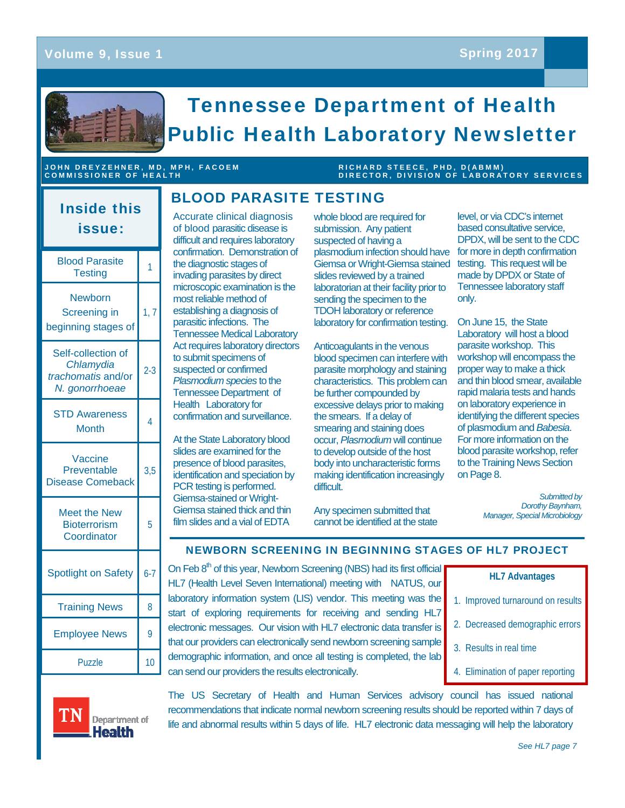

## JOHN DREYZEHNER, MD, MPH, FACOEM<br>COMMISSIONER OF HEALTH

## **RICHARD STEECE, PHD, D(ABMM)**<br>DIRECTOR, DIVISION OF LABORATORY SERVICES

# Inside this issue:

| <b>Blood Parasite</b><br>Testing                                        | 1              |
|-------------------------------------------------------------------------|----------------|
| Newborn<br>Screening in<br>beginning stages of                          | 1, 7           |
| Self-collection of<br>Chlamydia<br>trachomatis and/or<br>N. gonorrhoeae | $2-3$          |
| <b>STD Awareness</b><br>Month                                           | $\overline{4}$ |
| Vaccine<br>Preventable<br><b>Disease Comeback</b>                       | 3,5            |
| <b>Meet the New</b><br><b>Bioterrorism</b><br>Coordinator               | 5              |
| <b>Spotlight on Safety</b>                                              | $6 - 7$        |
| <b>Training News</b>                                                    | 8              |
| <b>Employee News</b>                                                    | 9              |
| Puzzle                                                                  | 10             |

Accurate clinical diagnosis of blood parasitic disease is difficult and requires laboratory confirmation. Demonstration of the diagnostic stages of invading parasites by direct microscopic examination is the most reliable method of establishing a diagnosis of parasitic infections. The Tennessee Medical Laboratory Act requires laboratory directors to submit specimens of suspected or confirmed *Plasmodium species* to the Tennessee Department of Health Laboratory for confirmation and surveillance.

BLOOD PARASITE TESTING

At the State Laboratory blood slides are examined for the presence of blood parasites, identification and speciation by PCR testing is performed. Giemsa-stained or Wright-Giemsa stained thick and thin film slides and a vial of EDTA

whole blood are required for submission. Any patient suspected of having a plasmodium infection should have Giemsa or Wright-Giemsa stained slides reviewed by a trained laboratorian at their facility prior to sending the specimen to the TDOH laboratory or reference laboratory for confirmation testing.

Anticoagulants in the venous blood specimen can interfere with parasite morphology and staining characteristics. This problem can be further compounded by excessive delays prior to making the smears. If a delay of smearing and staining does occur, *Plasmodium* will continue to develop outside of the host body into uncharacteristic forms making identification increasingly difficult.

level, or via CDC's internet based consultative service, DPDX, will be sent to the CDC for more in depth confirmation testing. This request will be made by DPDX or State of Tennessee laboratory staff only.

On June 15, the State Laboratory will host a blood parasite workshop. This workshop will encompass the proper way to make a thick and thin blood smear, available rapid malaria tests and hands on laboratory experience in identifying the different species of plasmodium and *Babesia*. For more information on the blood parasite workshop, refer to the Training News Section on Page 8.

> *Submitted by Dorothy Baynham, Manager, Special Microbiology*

Any specimen submitted that cannot be identified at the state

#### NEWBORN SCREENING IN BEGINNING STAGES OF HL7 PROJECT

On Feb 8<sup>th</sup> of this year, Newborn Screening (NBS) had its first official HL7 (Health Level Seven International) meeting with NATUS, our laboratory information system (LIS) vendor. This meeting was the start of exploring requirements for receiving and sending HL7 electronic messages. Our vision with HL7 electronic data transfer is that our providers can electronically send newborn screening sample demographic information, and once all testing is completed, the lab can send our providers the results electronically.

| <b>HL7 Advantages</b>             |  |  |
|-----------------------------------|--|--|
| 1. Improved turnaround on results |  |  |

- 
- 2. Decreased demographic errors
- 3. Results in real time
- 4. Elimination of paper reporting



The US Secretary of Health and Human Services advisory council has issued national recommendations that indicate normal newborn screening results should be reported within 7 days of life and abnormal results within 5 days of life. HL7 electronic data messaging will help the laboratory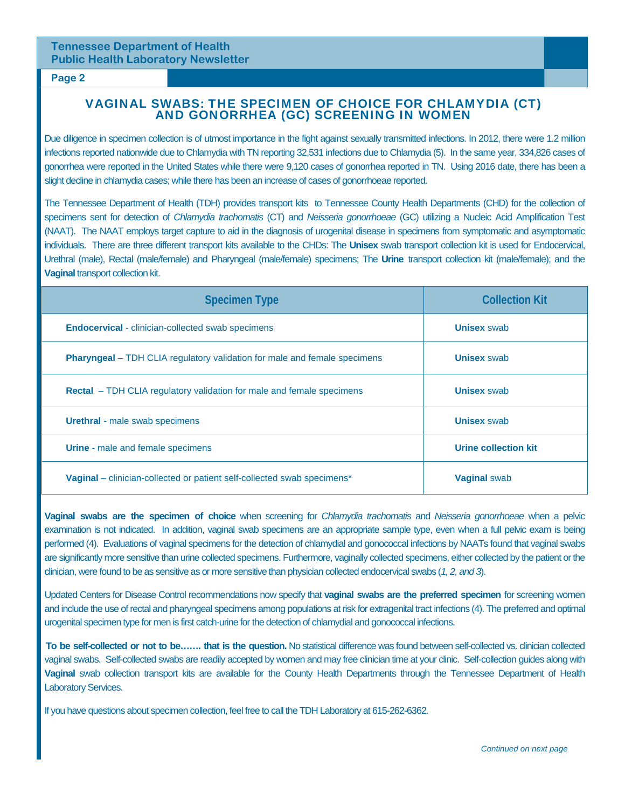#### **Page 2**

# VAGINAL SWABS: THE SPECIMEN OF CHOICE FOR CHLAMYDIA (CT) AND GONORRHEA (GC) SCREENING IN WOMEN

Due diligence in specimen collection is of utmost importance in the fight against sexually transmitted infections. In 2012, there were 1.2 million infections reported nationwide due to Chlamydia with TN reporting 32,531 infections due to Chlamydia (5). In the same year, 334,826 cases of gonorrhea were reported in the United States while there were 9,120 cases of gonorrhea reported in TN. Using 2016 date, there has been a slight decline in chlamydia cases; while there has been an increase of cases of gonorrhoeae reported.

The Tennessee Department of Health (TDH) provides transport kits to Tennessee County Health Departments (CHD) for the collection of specimens sent for detection of *Chlamydia trachomatis* (CT) and *Neisseria gonorrhoeae* (GC) utilizing a Nucleic Acid Amplification Test (NAAT). The NAAT employs target capture to aid in the diagnosis of urogenital disease in specimens from symptomatic and asymptomatic individuals. There are three different transport kits available to the CHDs: The **Unisex** swab transport collection kit is used for Endocervical, Urethral (male), Rectal (male/female) and Pharyngeal (male/female) specimens; The **Urine** transport collection kit (male/female); and the **Vaginal** transport collection kit.

| <b>Specimen Type</b>                                                                       | <b>Collection Kit</b> |
|--------------------------------------------------------------------------------------------|-----------------------|
| <b>Endocervical</b> - clinician-collected swab specimens                                   | <b>Unisex swab</b>    |
| <b>Pharyngeal</b> – TDH CLIA regulatory validation for male and female specimens           | <b>Unisex swab</b>    |
| <b>Rectal</b> – TDH CLIA regulatory validation for male and female specimens               | <b>Unisex swab</b>    |
| <b>Urethral</b> - male swab specimens                                                      | <b>Unisex swab</b>    |
| <b>Urine</b> - male and female specimens                                                   | Urine collection kit  |
| <b>Vaginal</b> – clinician-collected or patient self-collected swab specimens <sup>*</sup> | <b>Vaginal swab</b>   |

**Vaginal swabs are the specimen of choice** when screening for *Chlamydia trachomatis* and *Neisseria gonorrhoeae* when a pelvic examination is not indicated. In addition, vaginal swab specimens are an appropriate sample type, even when a full pelvic exam is being performed (4). Evaluations of vaginal specimens for the detection of chlamydial and gonococcal infections by NAATs found that vaginal swabs are significantly more sensitive than urine collected specimens. Furthermore, vaginally collected specimens, either collected by the patient or the clinician, were found to be as sensitive as or more sensitive than physician collected endocervical swabs (*1, 2, and 3*).

Updated Centers for Disease Control recommendations now specify that **vaginal swabs are the preferred specimen** for screening women and include the use of rectal and pharyngeal specimens among populations at risk for extragenital tract infections (4). The preferred and optimal urogenital specimen type for men is first catch-urine for the detection of chlamydial and gonococcal infections.

**To be self-collected or not to be……. that is the question.** No statistical difference was found between self-collected vs. clinician collected vaginal swabs. Self-collected swabs are readily accepted by women and may free clinician time at your clinic. Self-collection guides along with **Vaginal** swab collection transport kits are available for the County Health Departments through the Tennessee Department of Health Laboratory Services.

If you have questions about specimen collection, feel free to call the TDH Laboratory at 615-262-6362.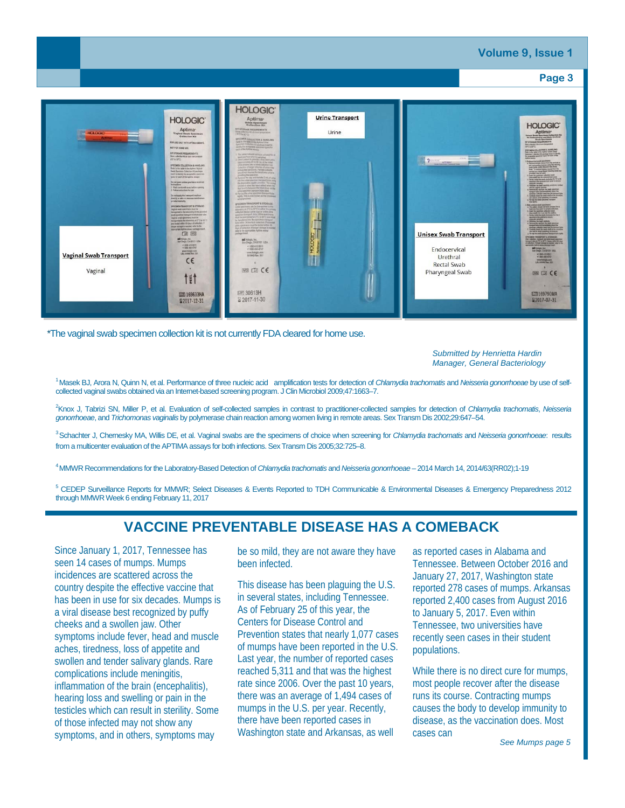

\*The vaginal swab specimen collection kit is not currently FDA cleared for home use.

*Submitted by Henrietta Hardin Manager, General Bacteriology* 

1 Masek BJ, Arora N, Quinn N, et al. Performance of three nucleic acid amplification tests for detection of *Chlamydia trachomatis* and *Neisseria gonorrhoeae* by use of selfcollected vaginal swabs obtained via an Internet-based screening program. J Clin Microbiol 2009;47:1663–7.

2 Knox J, Tabrizi SN, Miller P, et al. Evaluation of self-collected samples in contrast to practitioner-collected samples for detection of *Chlamydia trachomatis*, *Neisseria gonorrhoeae*, and *Trichomonas vaginalis* by polymerase chain reaction among women living in remote areas. Sex Transm Dis 2002;29:647–54.

3 Schachter J, Chernesky MA, Willis DE, et al. Vaginal swabs are the specimens of choice when screening for *Chlamydia trachomatis* and *Neisseria gonorrhoeae*: results from a multicenter evaluation of the APTIMA assays for both infections. Sex Transm Dis 2005;32:725–8.

4 MMWR Recommendations for the Laboratory-Based Detection of *Chlamydia trachomatis* and *Neisseria gonorrhoeae* – 2014 March 14, 2014/63(RR02);1-19

<sup>5</sup> CEDEP Surveillance Reports for MMWR; Select Diseases & Events Reported to TDH Communicable & Environmental Diseases & Emergency Preparedness 2012 through MMWR Week 6 ending February 11, 2017

### **VACCINE PREVENTABLE DISEASE HAS A COMEBACK**

Since January 1, 2017, Tennessee has seen 14 cases of mumps. Mumps incidences are scattered across the country despite the effective vaccine that has been in use for six decades. Mumps is a viral disease best recognized by puffy cheeks and a swollen jaw. Other symptoms include fever, head and muscle aches, tiredness, loss of appetite and swollen and tender salivary glands. Rare complications include meningitis, inflammation of the brain (encephalitis), hearing loss and swelling or pain in the testicles which can result in sterility. Some of those infected may not show any symptoms, and in others, symptoms may

be so mild, they are not aware they have been infected.

This disease has been plaguing the U.S. in several states, including Tennessee. As of February 25 of this year, the Centers for Disease Control and Prevention states that nearly 1,077 cases of mumps have been reported in the U.S. Last year, the number of reported cases reached 5,311 and that was the highest rate since 2006. Over the past 10 years, there was an average of 1,494 cases of mumps in the U.S. per year. Recently, there have been reported cases in Washington state and Arkansas, as well

as reported cases in Alabama and Tennessee. Between October 2016 and January 27, 2017, Washington state reported 278 cases of mumps. Arkansas reported 2,400 cases from August 2016 to January 5, 2017. Even within Tennessee, two universities have recently seen cases in their student populations.

While there is no direct cure for mumps, most people recover after the disease runs its course. Contracting mumps causes the body to develop immunity to disease, as the vaccination does. Most cases can

*See Mumps page 5*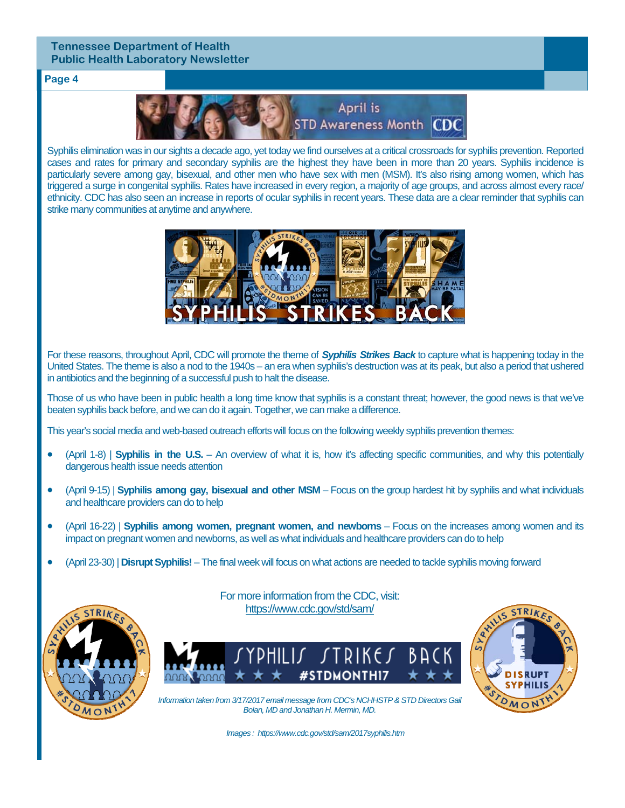#### **Page 4**



Syphilis elimination was in our sights a decade ago, yet today we find ourselves at a critical crossroads for syphilis prevention. Reported cases and rates for primary and secondary syphilis are the highest they have been in more than 20 years. Syphilis incidence is particularly severe among gay, bisexual, and other men who have sex with men (MSM). It's also rising among women, which has triggered a surge in congenital syphilis. Rates have increased in every region, a majority of age groups, and across almost every race/ ethnicity. CDC has also seen an increase in reports of ocular syphilis in recent years. These data are a clear reminder that syphilis can strike many communities at anytime and anywhere.



For these reasons, throughout April, CDC will promote the theme of *Syphilis Strikes Back* to capture what is happening today in the United States. The theme is also a nod to the 1940s – an era when syphilis's destruction was at its peak, but also a period that ushered in antibiotics and the beginning of a successful push to halt the disease.

Those of us who have been in public health a long time know that syphilis is a constant threat; however, the good news is that we've beaten syphilis back before, and we can do it again. Together, we can make a difference.

This year's social media and web-based outreach efforts will focus on the following weekly syphilis prevention themes:

- (April 1-8) | **Syphilis in the U.S.** An overview of what it is, how it's affecting specific communities, and why this potentially dangerous health issue needs attention
- (April 9-15) | **Syphilis among gay, bisexual and other MSM** Focus on the group hardest hit by syphilis and what individuals and healthcare providers can do to help
- (April 16-22) | **Syphilis among women, pregnant women, and newborns** Focus on the increases among women and its impact on pregnant women and newborns, as well as what individuals and healthcare providers can do to help
- (April 23-30) | **Disrupt Syphilis!** The final week will focus on what actions are needed to tackle syphilis moving forward



For more information from the CDC, visit: https://www.cdc.gov/std/sam/





*Information taken from 3/17/2017 email message from CDC's NCHHSTP & STD Directors Gail Bolan, MD and Jonathan H. Mermin, MD.* 

*Images : https://www.cdc.gov/std/sam/2017syphilis.htm*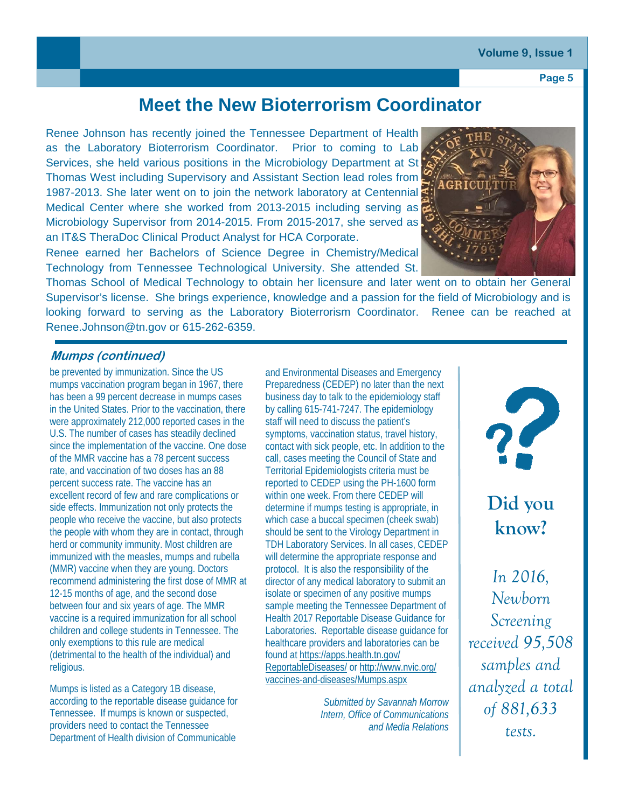#### **Volume 9, Issue 1**

**Page 5** 

# **Meet the New Bioterrorism Coordinator**

Renee Johnson has recently joined the Tennessee Department of Health as the Laboratory Bioterrorism Coordinator. Prior to coming to Lab Services, she held various positions in the Microbiology Department at St Thomas West including Supervisory and Assistant Section lead roles from 1987-2013. She later went on to join the network laboratory at Centennial Medical Center where she worked from 2013-2015 including serving as Microbiology Supervisor from 2014-2015. From 2015-2017, she served as an IT&S TheraDoc Clinical Product Analyst for HCA Corporate.

Renee earned her Bachelors of Science Degree in Chemistry/Medical Technology from Tennessee Technological University. She attended St.



Thomas School of Medical Technology to obtain her licensure and later went on to obtain her General Supervisor's license. She brings experience, knowledge and a passion for the field of Microbiology and is looking forward to serving as the Laboratory Bioterrorism Coordinator. Renee can be reached at Renee.Johnson@tn.gov or 615-262-6359.

#### **Mumps (continued)**

be prevented by immunization. Since the US mumps vaccination program began in 1967, there has been a 99 percent decrease in mumps cases in the United States. Prior to the vaccination, there were approximately 212,000 reported cases in the U.S. The number of cases has steadily declined since the implementation of the vaccine. One dose of the MMR vaccine has a 78 percent success rate, and vaccination of two doses has an 88 percent success rate. The vaccine has an excellent record of few and rare complications or side effects. Immunization not only protects the people who receive the vaccine, but also protects the people with whom they are in contact, through herd or community immunity. Most children are immunized with the measles, mumps and rubella (MMR) vaccine when they are young. Doctors recommend administering the first dose of MMR at 12-15 months of age, and the second dose between four and six years of age. The MMR vaccine is a required immunization for all school children and college students in Tennessee. The only exemptions to this rule are medical (detrimental to the health of the individual) and religious.

Mumps is listed as a Category 1B disease, according to the reportable disease guidance for Tennessee. If mumps is known or suspected, providers need to contact the Tennessee Department of Health division of Communicable

and Environmental Diseases and Emergency Preparedness (CEDEP) no later than the next business day to talk to the epidemiology staff by calling 615-741-7247. The epidemiology staff will need to discuss the patient's symptoms, vaccination status, travel history, contact with sick people, etc. In addition to the call, cases meeting the Council of State and Territorial Epidemiologists criteria must be reported to CEDEP using the PH-1600 form within one week. From there CEDEP will determine if mumps testing is appropriate, in which case a buccal specimen (cheek swab) should be sent to the Virology Department in TDH Laboratory Services. In all cases, CEDEP will determine the appropriate response and protocol. It is also the responsibility of the director of any medical laboratory to submit an isolate or specimen of any positive mumps sample meeting the Tennessee Department of Health 2017 Reportable Disease Guidance for Laboratories. Reportable disease guidance for healthcare providers and laboratories can be found at https://apps.health.tn.gov/ ReportableDiseases/ or http://www.nvic.org/ vaccines-and-diseases/Mumps.aspx

> *Submitted by Savannah Morrow Intern, Office of Communications and Media Relations*



**Did you know?** 

*In 2016, Newborn Screening received 95,508 samples and analyzed a total of 881,633 tests.*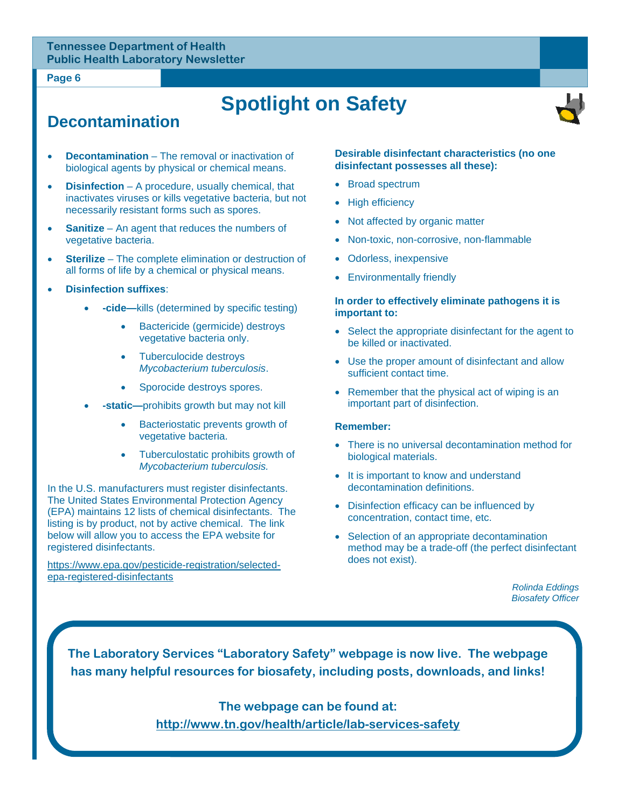#### **Page 6**

# **Spotlight on Safety**



## **Decontamination**

- **Decontamination** The removal or inactivation of biological agents by physical or chemical means.
- **Disinfection** A procedure, usually chemical, that inactivates viruses or kills vegetative bacteria, but not necessarily resistant forms such as spores.
- **Sanitize** An agent that reduces the numbers of vegetative bacteria.
- **Sterilize** The complete elimination or destruction of all forms of life by a chemical or physical means.
- **Disinfection suffixes**:
	- **-cide—**kills (determined by specific testing)
		- Bactericide (germicide) destroys vegetative bacteria only.
		- Tuberculocide destroys *Mycobacterium tuberculosis*.
		- Sporocide destroys spores.
	- **-static—**prohibits growth but may not kill
		- Bacteriostatic prevents growth of vegetative bacteria.
		- Tuberculostatic prohibits growth of *Mycobacterium tuberculosis.*

In the U.S. manufacturers must register disinfectants. The United States Environmental Protection Agency (EPA) maintains 12 lists of chemical disinfectants. The listing is by product, not by active chemical. The link below will allow you to access the EPA website for registered disinfectants.

https://www.epa.gov/pesticide-registration/selectedepa-registered-disinfectants

#### **Desirable disinfectant characteristics (no one disinfectant possesses all these):**

- Broad spectrum
- High efficiency
- Not affected by organic matter
- Non-toxic, non-corrosive, non-flammable
- Odorless, inexpensive
- Environmentally friendly

#### **In order to effectively eliminate pathogens it is important to:**

- Select the appropriate disinfectant for the agent to be killed or inactivated.
- Use the proper amount of disinfectant and allow sufficient contact time.
- Remember that the physical act of wiping is an important part of disinfection.

#### **Remember:**

- There is no universal decontamination method for biological materials.
- It is important to know and understand decontamination definitions.
- Disinfection efficacy can be influenced by concentration, contact time, etc.
- Selection of an appropriate decontamination method may be a trade-off (the perfect disinfectant does not exist).

*Rolinda Eddings Biosafety Officer* 

**The Laboratory Services "Laboratory Safety" webpage is now live. The webpage has many helpful resources for biosafety, including posts, downloads, and links!** 

> **The webpage can be found at: http://www.tn.gov/health/article/lab-services-safety**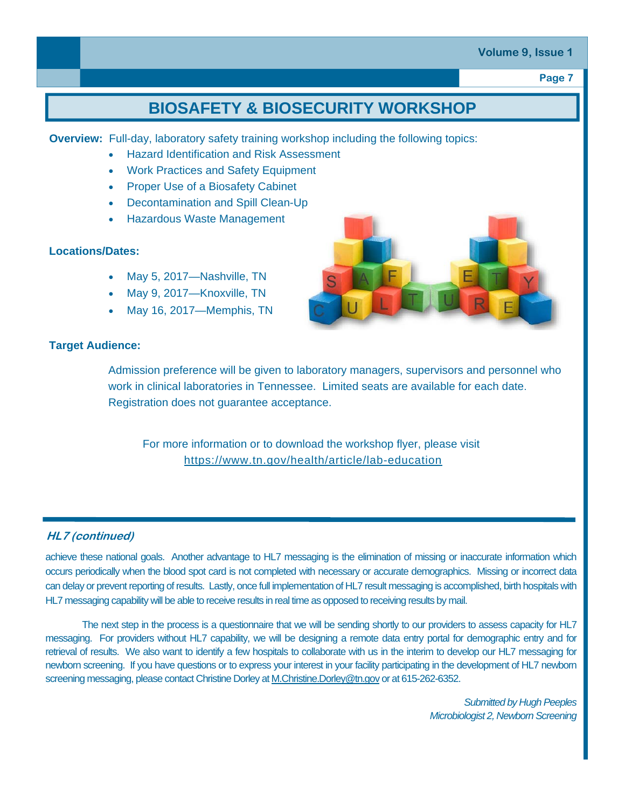#### **Volume 9, Issue 1**

**Page 7** 

# **BIOSAFETY & BIOSECURITY WORKSHOP**

**Overview:** Full-day, laboratory safety training workshop including the following topics:

- Hazard Identification and Risk Assessment
- Work Practices and Safety Equipment
- Proper Use of a Biosafety Cabinet
- Decontamination and Spill Clean-Up
- Hazardous Waste Management

#### **Locations/Dates:**

- May 5, 2017—Nashville, TN
- May 9, 2017—Knoxville, TN
- May 16, 2017—Memphis, TN



#### **Target Audience:**

Admission preference will be given to laboratory managers, supervisors and personnel who work in clinical laboratories in Tennessee. Limited seats are available for each date. Registration does not guarantee acceptance.

For more information or to download the workshop flyer, please visit https://www.tn.gov/health/article/lab-education

#### **HL7 (continued)**

achieve these national goals. Another advantage to HL7 messaging is the elimination of missing or inaccurate information which occurs periodically when the blood spot card is not completed with necessary or accurate demographics. Missing or incorrect data can delay or prevent reporting of results. Lastly, once full implementation of HL7 result messaging is accomplished, birth hospitals with HL7 messaging capability will be able to receive results in real time as opposed to receiving results by mail.

The next step in the process is a questionnaire that we will be sending shortly to our providers to assess capacity for HL7 messaging. For providers without HL7 capability, we will be designing a remote data entry portal for demographic entry and for retrieval of results. We also want to identify a few hospitals to collaborate with us in the interim to develop our HL7 messaging for newborn screening. If you have questions or to express your interest in your facility participating in the development of HL7 newborn screening messaging, please contact Christine Dorley at M.Christine.Dorley@tn.gov or at 615-262-6352.

> *Submitted by Hugh Peeples Microbiologist 2, Newborn Screening*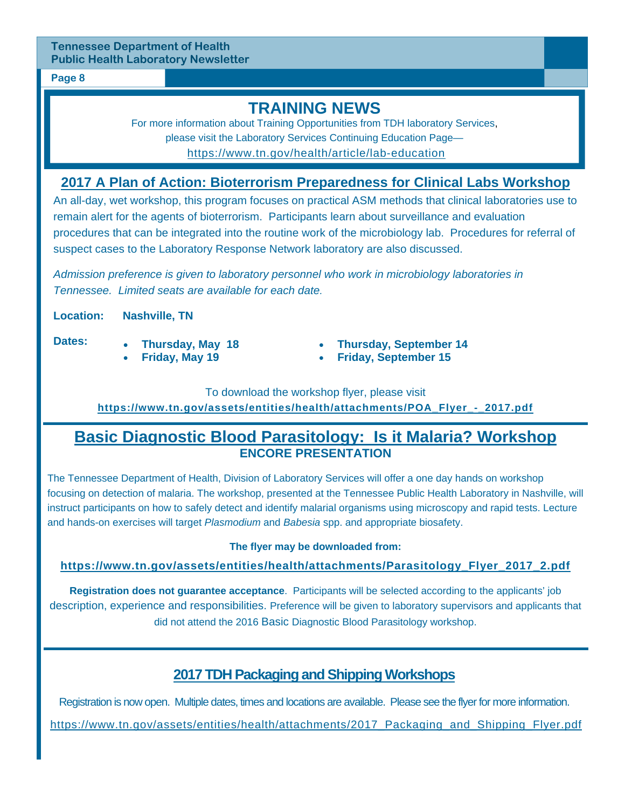#### **Page 8**

## **TRAINING NEWS**

For more information about Training Opportunities from TDH laboratory Services, please visit the Laboratory Services Continuing Education Page https://www.tn.gov/health/article/lab-education

#### **2017 A Plan of Action: Bioterrorism Preparedness for Clinical Labs Workshop**

An all-day, wet workshop, this program focuses on practical ASM methods that clinical laboratories use to remain alert for the agents of bioterrorism. Participants learn about surveillance and evaluation procedures that can be integrated into the routine work of the microbiology lab. Procedures for referral of suspect cases to the Laboratory Response Network laboratory are also discussed.

*Admission preference is given to laboratory personnel who work in microbiology laboratories in Tennessee. Limited seats are available for each date.* 

**Location: Nashville, TN** 

**Dates:** 

- **Thursday, May 18 Friday, May 19**
- **Thursday, September 14**
- **Friday, September 15**

To download the workshop flyer, please visit **https://www.tn.gov/assets/entities/health/attachments/POA\_Flyer\_-\_2017.pdf** 

### **Basic Diagnostic Blood Parasitology: Is it Malaria? Workshop ENCORE PRESENTATION**

The Tennessee Department of Health, Division of Laboratory Services will offer a one day hands on workshop focusing on detection of malaria. The workshop, presented at the Tennessee Public Health Laboratory in Nashville, will instruct participants on how to safely detect and identify malarial organisms using microscopy and rapid tests. Lecture and hands-on exercises will target *Plasmodium* and *Babesia* spp. and appropriate biosafety.

#### **The flyer may be downloaded from:**

#### **https://www.tn.gov/assets/entities/health/attachments/Parasitology\_Flyer\_2017\_2.pdf**

**Registration does not guarantee acceptance**. Participants will be selected according to the applicants' job description, experience and responsibilities. Preference will be given to laboratory supervisors and applicants that did not attend the 2016 Basic Diagnostic Blood Parasitology workshop.

### **2017 TDH Packaging and Shipping Workshops**

Registration is now open. Multiple dates, times and locations are available. Please see the flyer for more information.

https://www.tn.gov/assets/entities/health/attachments/2017\_Packaging\_and\_Shipping\_Flyer.pdf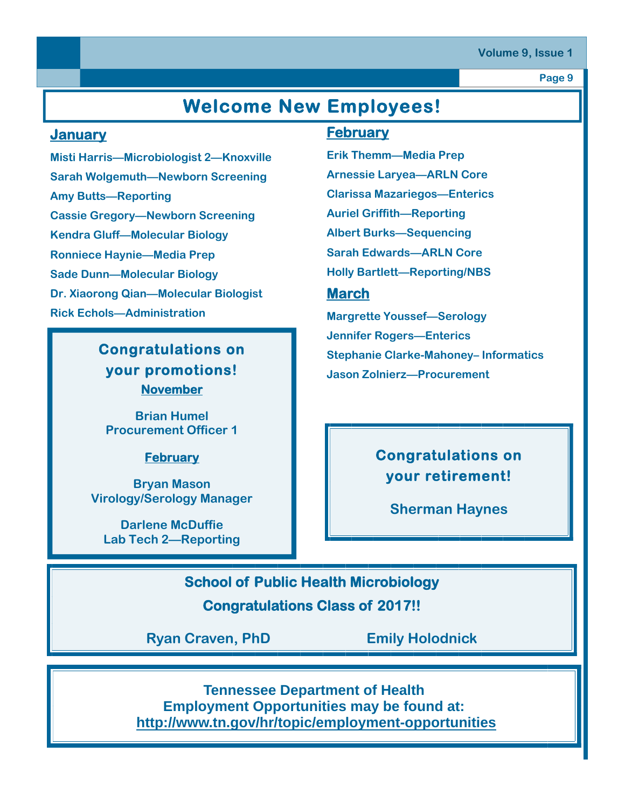#### **Volume 9, Issue 1**

**Page 9** 

# **Welcome New Employees!**

#### **January**

**Misti Harris—Microbiologist 2—Knoxville Sarah Wolgemuth—Newborn Screening Amy Butts—Reporting Cassie Gregory—Newborn Screening Kendra Gluff—Molecular Biology Ronniece Haynie—Media Prep Sade Dunn—Molecular Biology Dr. Xiaorong Qian—Molecular Biologist Rick Echols—Administration** 

### **Congratulations on your promotions! November**

**Brian Humel Procurement Officer 1** 

#### **February**

**Bryan Mason Virology/Serology Manager** 

**Darlene McDuffie Lab Tech 2—Reporting** 

#### **February**

**Erik Themm—Media Prep Arnessie Laryea—ARLN Core Clarissa Mazariegos—Enterics Auriel Griffith—Reporting Albert Burks—Sequencing Sarah Edwards—ARLN Core Holly Bartlett—Reporting/NBS** 

#### **March**

**Margrette Youssef—Serology Jennifer Rogers—Enterics Stephanie Clarke-Mahoney– Informatics Jason Zolnierz—Procurement** 

## **Congratulations on your retirement!**

**Sherman Haynes** 

**School of Public Health Microbiology Congratulations Class of 2017!!** 

**Ryan Craven, PhD Emily Holodnick** 

**Tennessee Department of Health Employment Opportunities may be found at: http://www.tn.gov/hr/topic/employment-opportunities**